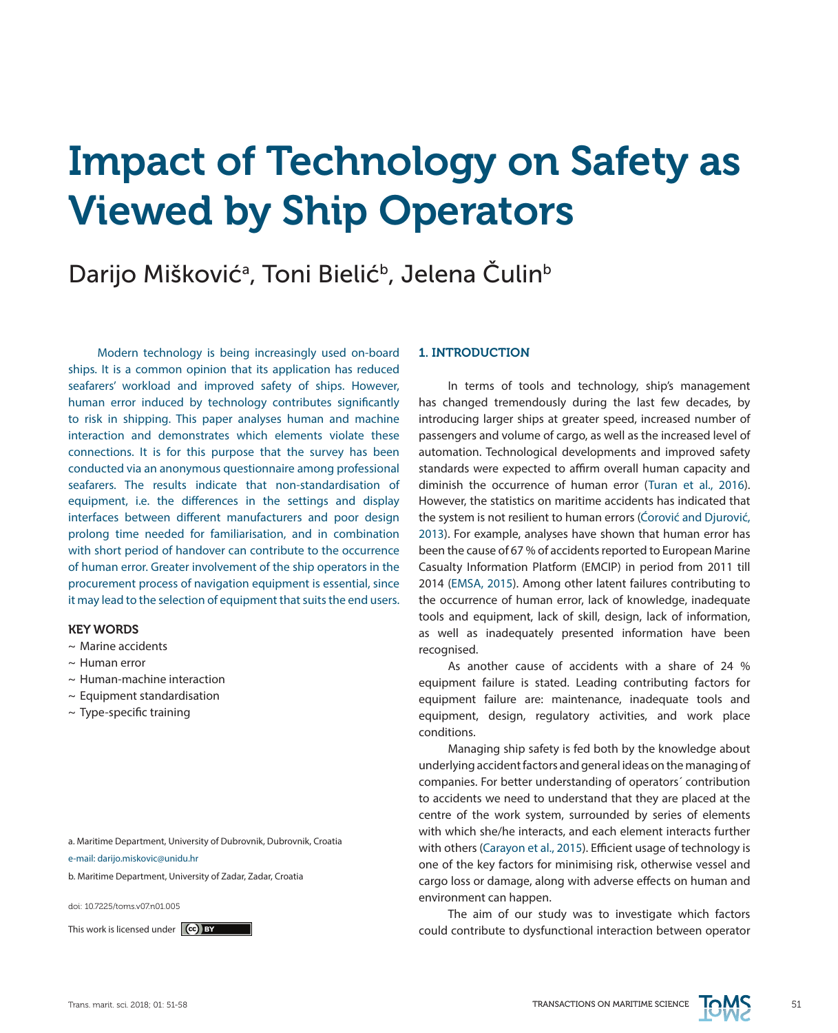# Impact of Technology on Safety as Viewed by Ship Operators

# Darijo Mišković<sup>a</sup>, Toni Bielić<sup>b</sup>, Jelena Čulin<sup>b</sup>

Modern technology is being increasingly used on-board ships. It is a common opinion that its application has reduced seafarers' workload and improved safety of ships. However, human error induced by technology contributes significantly to risk in shipping. This paper analyses human and machine interaction and demonstrates which elements violate these connections. It is for this purpose that the survey has been conducted via an anonymous questionnaire among professional seafarers. The results indicate that non-standardisation of equipment, i.e. the differences in the settings and display interfaces between different manufacturers and poor design prolong time needed for familiarisation, and in combination with short period of handover can contribute to the occurrence of human error. Greater involvement of the ship operators in the procurement process of navigation equipment is essential, since it may lead to the selection of equipment that suits the end users.

#### KEY WORDS

- ~ Marine accidents
- $\sim$  Human error
- $\sim$  Human-machine interaction
- $\sim$  Equipment standardisation
- $\sim$  Type-specific training

a. Maritime Department, University of Dubrovnik, Dubrovnik, Croatia

- e-mail: darijo.miskovic@unidu.hr
- b. Maritime Department, University of Zadar, Zadar, Croatia

doi: 10.7225/toms.v07.n01.005

#### 1. INTRODUCTION

In terms of tools and technology, ship's management has changed tremendously during the last few decades, by introducing larger ships at greater speed, increased number of passengers and volume of cargo, as well as the increased level of automation. Technological developments and improved safety standards were expected to affirm overall human capacity and diminish the occurrence of human error (Turan et al., 2016). However, the statistics on maritime accidents has indicated that the system is not resilient to human errors (Ćorović and Djurović, 2013). For example, analyses have shown that human error has been the cause of 67 % of accidents reported to European Marine Casualty Information Platform (EMCIP) in period from 2011 till 2014 (EMSA, 2015). Among other latent failures contributing to the occurrence of human error, lack of knowledge, inadequate tools and equipment, lack of skill, design, lack of information, as well as inadequately presented information have been recognised.

As another cause of accidents with a share of 24 % equipment failure is stated. Leading contributing factors for equipment failure are: maintenance, inadequate tools and equipment, design, regulatory activities, and work place conditions.

Managing ship safety is fed both by the knowledge about underlying accident factors and general ideas on the managing of companies. For better understanding of operators´ contribution to accidents we need to understand that they are placed at the centre of the work system, surrounded by series of elements with which she/he interacts, and each element interacts further with others (Carayon et al., 2015). Efficient usage of technology is one of the key factors for minimising risk, otherwise vessel and cargo loss or damage, along with adverse effects on human and environment can happen.

The aim of our study was to investigate which factors This work is licensed under **co) by the could contribute to dysfunctional interaction between operator** 

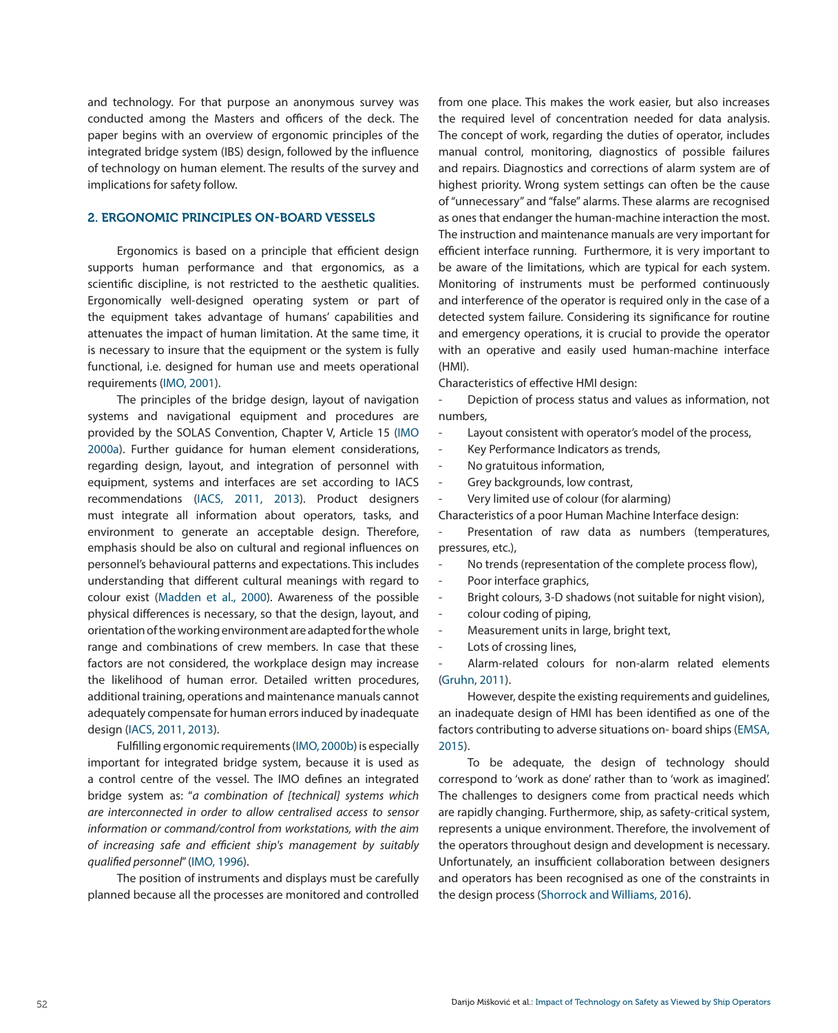and technology. For that purpose an anonymous survey was conducted among the Masters and officers of the deck. The paper begins with an overview of ergonomic principles of the integrated bridge system (IBS) design, followed by the influence of technology on human element. The results of the survey and implications for safety follow.

# 2. ERGONOMIC PRINCIPLES ON-BOARD VESSELS

Ergonomics is based on a principle that efficient design supports human performance and that ergonomics, as a scientific discipline, is not restricted to the aesthetic qualities. Ergonomically well-designed operating system or part of the equipment takes advantage of humans' capabilities and attenuates the impact of human limitation. At the same time, it is necessary to insure that the equipment or the system is fully functional, i.e. designed for human use and meets operational requirements (IMO, 2001).

The principles of the bridge design, layout of navigation systems and navigational equipment and procedures are provided by the SOLAS Convention, Chapter V, Article 15 (IMO 2000a). Further guidance for human element considerations, regarding design, layout, and integration of personnel with equipment, systems and interfaces are set according to IACS recommendations (IACS, 2011, 2013). Product designers must integrate all information about operators, tasks, and environment to generate an acceptable design. Therefore, emphasis should be also on cultural and regional influences on personnel's behavioural patterns and expectations. This includes understanding that different cultural meanings with regard to colour exist (Madden et al., 2000). Awareness of the possible physical differences is necessary, so that the design, layout, and orientation of the working environment are adapted for the whole range and combinations of crew members. In case that these factors are not considered, the workplace design may increase the likelihood of human error. Detailed written procedures, additional training, operations and maintenance manuals cannot adequately compensate for human errors induced by inadequate design (IACS, 2011, 2013).

Fulfilling ergonomic requirements (IMO, 2000b) is especially important for integrated bridge system, because it is used as a control centre of the vessel. The IMO defines an integrated bridge system as: "*a combination of [technical] systems which are interconnected in order to allow centralised access to sensor information or command/control from workstations, with the aim of increasing safe and efficient ship's management by suitably qualified personnel*" (IMO, 1996).

The position of instruments and displays must be carefully planned because all the processes are monitored and controlled from one place. This makes the work easier, but also increases the required level of concentration needed for data analysis. The concept of work, regarding the duties of operator, includes manual control, monitoring, diagnostics of possible failures and repairs. Diagnostics and corrections of alarm system are of highest priority. Wrong system settings can often be the cause of "unnecessary" and "false" alarms. These alarms are recognised as ones that endanger the human-machine interaction the most. The instruction and maintenance manuals are very important for efficient interface running. Furthermore, it is very important to be aware of the limitations, which are typical for each system. Monitoring of instruments must be performed continuously and interference of the operator is required only in the case of a detected system failure. Considering its significance for routine and emergency operations, it is crucial to provide the operator with an operative and easily used human-machine interface (HMI).

Characteristics of effective HMI design:

Depiction of process status and values as information, not numbers,

- Layout consistent with operator's model of the process,
- Key Performance Indicators as trends,
- No gratuitous information,
- Grey backgrounds, low contrast,
- Very limited use of colour (for alarming)

Characteristics of a poor Human Machine Interface design:

Presentation of raw data as numbers (temperatures, pressures, etc.),

- No trends (representation of the complete process flow),
- Poor interface graphics,
- Bright colours, 3-D shadows (not suitable for night vision),
- colour coding of piping,
- Measurement units in large, bright text,
- Lots of crossing lines,

Alarm-related colours for non-alarm related elements [\(Gruhn, 2011](http://www.rin.org.uk/Newsitem/5042/First-GPS-III-satellite-ready/Feed)).

However, despite the existing requirements and guidelines, an inadequate design of HMI has been identified as one of the factors contributing to adverse situations on- board ships [\(EMSA,](https://www.wartsila.com/twentyfour7/innovation/raising-the-bar-on-safety)  [2015](https://www.wartsila.com/twentyfour7/innovation/raising-the-bar-on-safety)).

To be adequate, the design of technology should correspond to 'work as done' rather than to 'work as imagined'. The challenges to designers come from practical needs which are rapidly changing. Furthermore, ship, as safety-critical system, represents a unique environment. Therefore, the involvement of the operators throughout design and development is necessary. Unfortunately, an insufficient collaboration between designers and operators has been recognised as one of the constraints in the design process (Shorrock and Williams, 2016).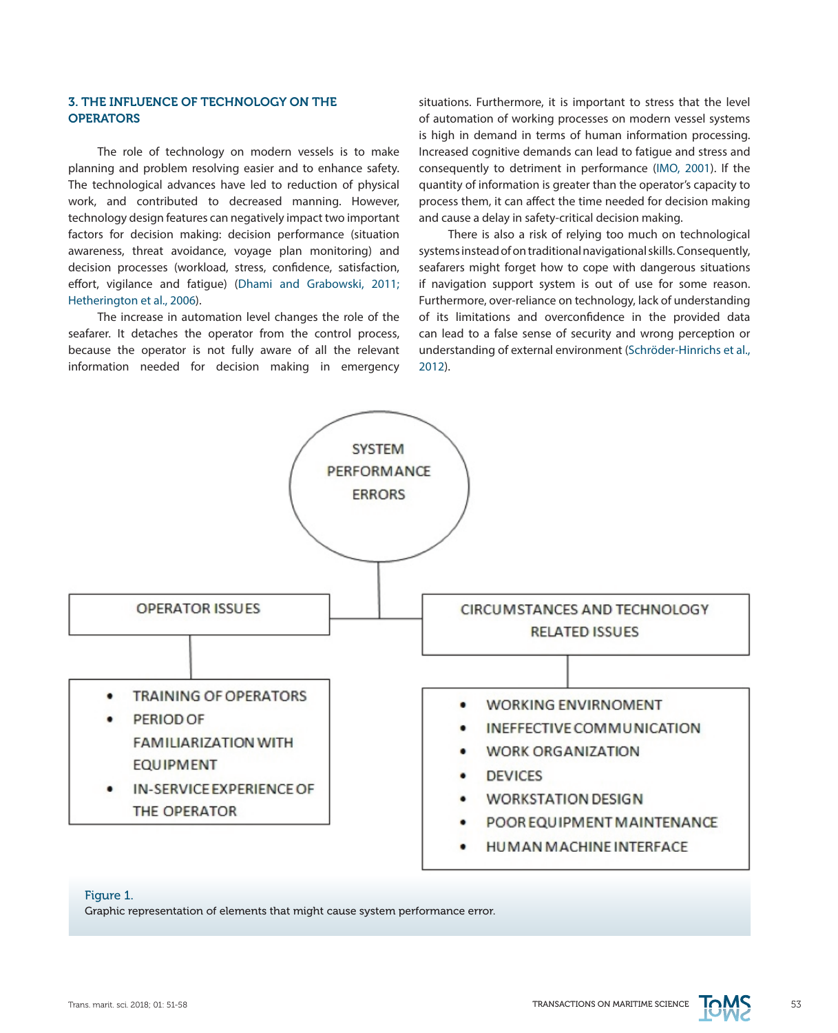# 3. THE INFLUENCE OF TECHNOLOGY ON THE **OPERATORS**

The role of technology on modern vessels is to make planning and problem resolving easier and to enhance safety. The technological advances have led to reduction of physical work, and contributed to decreased manning. However, technology design features can negatively impact two important factors for decision making: decision performance (situation awareness, threat avoidance, voyage plan monitoring) and decision processes (workload, stress, confidence, satisfaction, effort, vigilance and fatigue) [\(Dhami and Grabowski, 2011;](http://www.rin.org.uk/newsitem/5038/Dual-frequency-GNSS-receiver-introduced)  [Hetherington et al., 2006](http://www.rin.org.uk/newsitem/5038/Dual-frequency-GNSS-receiver-introduced)).

The increase in automation level changes the role of the seafarer. It detaches the operator from the control process, because the operator is not fully aware of all the relevant information needed for decision making in emergency situations. Furthermore, it is important to stress that the level of automation of working processes on modern vessel systems is high in demand in terms of human information processing. Increased cognitive demands can lead to fatigue and stress and consequently to detriment in performance [\(IMO, 2001\)](https://www.wartsila.com/twentyfour7/in-detail/catching-the-surge). If the quantity of information is greater than the operator's capacity to process them, it can affect the time needed for decision making and cause a delay in safety-critical decision making.

There is also a risk of relying too much on technological systems instead of on traditional navigational skills. Consequently, seafarers might forget how to cope with dangerous situations if navigation support system is out of use for some reason. Furthermore, over-reliance on technology, lack of understanding of its limitations and overconfidence in the provided data can lead to a false sense of security and wrong perception or understanding of external environment (Schröder-Hinrichs et al., 2012).



## Figure 1.

Graphic representation of elements that might cause system performance error.

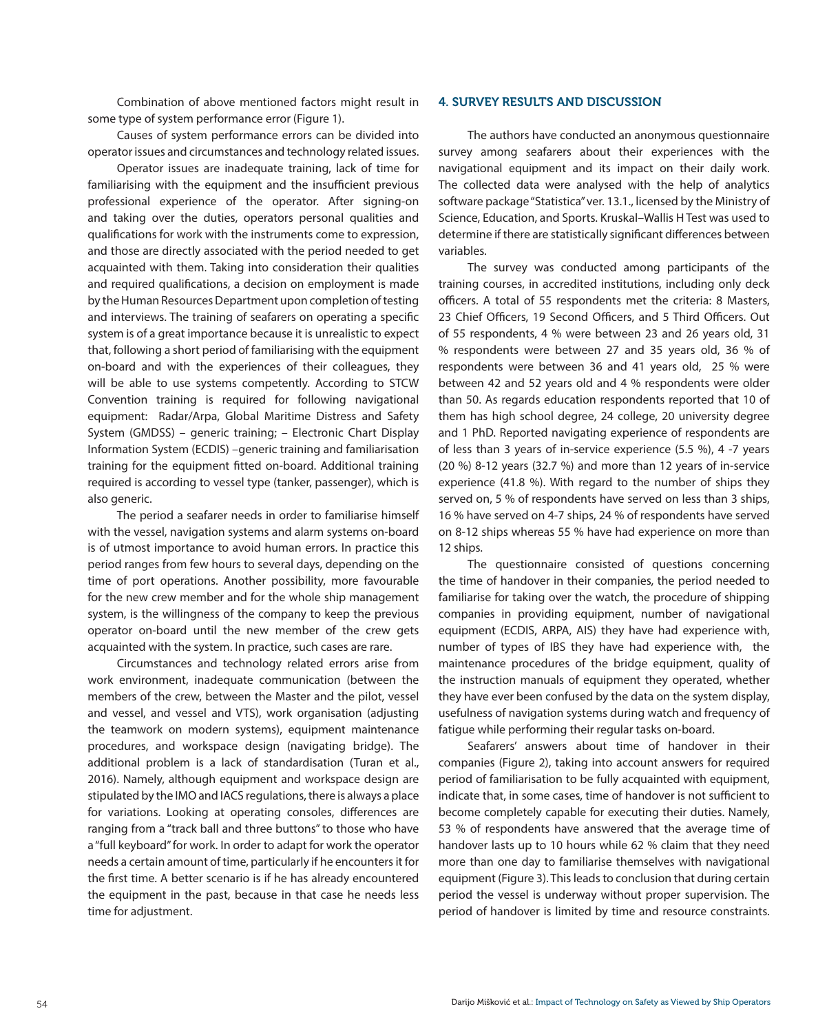Combination of above mentioned factors might result in some type of system performance error (Figure 1).

Causes of system performance errors can be divided into operator issues and circumstances and technology related issues.

Operator issues are inadequate training, lack of time for familiarising with the equipment and the insufficient previous professional experience of the operator. After signing-on and taking over the duties, operators personal qualities and qualifications for work with the instruments come to expression, and those are directly associated with the period needed to get acquainted with them. Taking into consideration their qualities and required qualifications, a decision on employment is made by the Human Resources Department upon completion of testing and interviews. The training of seafarers on operating a specific system is of a great importance because it is unrealistic to expect that, following a short period of familiarising with the equipment on-board and with the experiences of their colleagues, they will be able to use systems competently. According to STCW Convention training is required for following navigational equipment: Radar/Arpa, Global Maritime Distress and Safety System (GMDSS) – generic training; – Electronic Chart Display Information System (ECDIS) –generic training and familiarisation training for the equipment fitted on-board. Additional training required is according to vessel type (tanker, passenger), which is also generic.

The period a seafarer needs in order to familiarise himself with the vessel, navigation systems and alarm systems on-board is of utmost importance to avoid human errors. In practice this period ranges from few hours to several days, depending on the time of port operations. Another possibility, more favourable for the new crew member and for the whole ship management system, is the willingness of the company to keep the previous operator on-board until the new member of the crew gets acquainted with the system. In practice, such cases are rare.

Circumstances and technology related errors arise from work environment, inadequate communication (between the members of the crew, between the Master and the pilot, vessel and vessel, and vessel and VTS), work organisation (adjusting the teamwork on modern systems), equipment maintenance procedures, and workspace design (navigating bridge). The additional problem is a lack of standardisation (Turan et al., 2016). Namely, although equipment and workspace design are stipulated by the IMO and IACS regulations, there is always a place for variations. Looking at operating consoles, differences are ranging from a "track ball and three buttons" to those who have a "full keyboard" for work. In order to adapt for work the operator needs a certain amount of time, particularly if he encounters it for the first time. A better scenario is if he has already encountered the equipment in the past, because in that case he needs less time for adjustment.

#### 4. SURVEY RESULTS AND DISCUSSION

The authors have conducted an anonymous questionnaire survey among seafarers about their experiences with the navigational equipment and its impact on their daily work. The collected data were analysed with the help of analytics software package "Statistica" ver. 13.1., licensed by the Ministry of Science, Education, and Sports. Kruskal–Wallis H Test was used to determine if there are statistically significant differences between variables.

The survey was conducted among participants of the training courses, in accredited institutions, including only deck officers. A total of 55 respondents met the criteria: 8 Masters, 23 Chief Officers, 19 Second Officers, and 5 Third Officers. Out of 55 respondents, 4 % were between 23 and 26 years old, 31 % respondents were between 27 and 35 years old, 36 % of respondents were between 36 and 41 years old, 25 % were between 42 and 52 years old and 4 % respondents were older than 50. As regards education respondents reported that 10 of them has high school degree, 24 college, 20 university degree and 1 PhD. Reported navigating experience of respondents are of less than 3 years of in-service experience (5.5 %), 4 -7 years (20 %) 8-12 years (32.7 %) and more than 12 years of in-service experience (41.8 %). With regard to the number of ships they served on, 5 % of respondents have served on less than 3 ships, 16 % have served on 4-7 ships, 24 % of respondents have served on 8-12 ships whereas 55 % have had experience on more than 12 ships.

The questionnaire consisted of questions concerning the time of handover in their companies, the period needed to familiarise for taking over the watch, the procedure of shipping companies in providing equipment, number of navigational equipment (ECDIS, ARPA, AIS) they have had experience with, number of types of IBS they have had experience with, the maintenance procedures of the bridge equipment, quality of the instruction manuals of equipment they operated, whether they have ever been confused by the data on the system display, usefulness of navigation systems during watch and frequency of fatigue while performing their regular tasks on-board.

Seafarers' answers about time of handover in their companies (Figure 2), taking into account answers for required period of familiarisation to be fully acquainted with equipment, indicate that, in some cases, time of handover is not sufficient to become completely capable for executing their duties. Namely, 53 % of respondents have answered that the average time of handover lasts up to 10 hours while 62 % claim that they need more than one day to familiarise themselves with navigational equipment (Figure 3). This leads to conclusion that during certain period the vessel is underway without proper supervision. The period of handover is limited by time and resource constraints.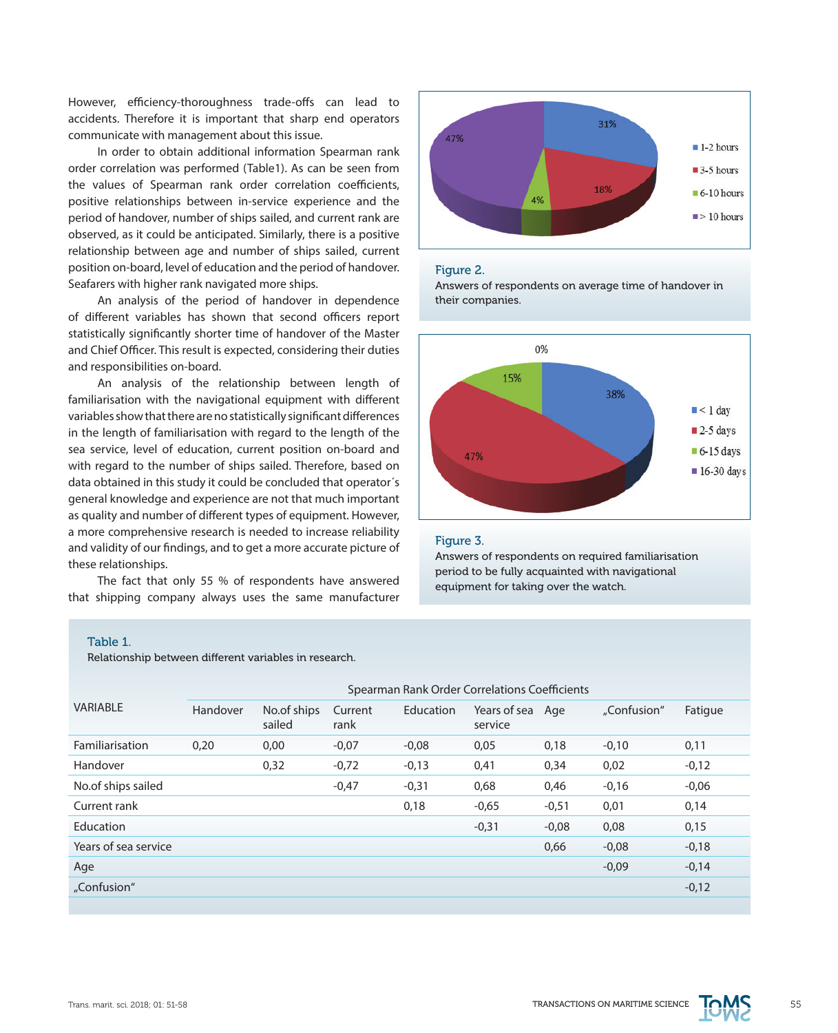However, efficiency-thoroughness trade-offs can lead to accidents. Therefore it is important that sharp end operators communicate with management about this issue.

In order to obtain additional information Spearman rank order correlation was performed (Table1). As can be seen from the values of Spearman rank order correlation coefficients, positive relationships between in-service experience and the period of handover, number of ships sailed, and current rank are observed, as it could be anticipated. Similarly, there is a positive relationship between age and number of ships sailed, current position on-board, level of education and the period of handover. Seafarers with higher rank navigated more ships.

An analysis of the period of handover in dependence of different variables has shown that second officers report statistically significantly shorter time of handover of the Master and Chief Officer. This result is expected, considering their duties and responsibilities on-board.

An analysis of the relationship between length of familiarisation with the navigational equipment with different variables show that there are no statistically significant differences in the length of familiarisation with regard to the length of the sea service, level of education, current position on-board and with regard to the number of ships sailed. Therefore, based on data obtained in this study it could be concluded that operator´s general knowledge and experience are not that much important as quality and number of different types of equipment. However, a more comprehensive research is needed to increase reliability and validity of our findings, and to get a more accurate picture of these relationships.

The fact that only 55 % of respondents have answered that shipping company always uses the same manufacturer



#### Figure 2.

Answers of respondents on average time of handover in their companies.



## Figure 3.

Answers of respondents on required familiarisation period to be fully acquainted with navigational equipment for taking over the watch.

#### Table 1.

Relationship between different variables in research.

| VARIABLE             | Spearman Rank Order Correlations Coefficients |                       |                 |           |                         |         |             |         |
|----------------------|-----------------------------------------------|-----------------------|-----------------|-----------|-------------------------|---------|-------------|---------|
|                      | Handover                                      | No.of ships<br>sailed | Current<br>rank | Education | Years of sea<br>service | Age     | "Confusion" | Fatigue |
| Familiarisation      | 0,20                                          | 0,00                  | $-0.07$         | $-0,08$   | 0,05                    | 0,18    | $-0,10$     | 0,11    |
| Handover             |                                               | 0,32                  | $-0,72$         | $-0,13$   | 0,41                    | 0,34    | 0,02        | $-0,12$ |
| No.of ships sailed   |                                               |                       | $-0,47$         | $-0,31$   | 0,68                    | 0,46    | $-0,16$     | $-0,06$ |
| Current rank         |                                               |                       |                 | 0,18      | $-0,65$                 | $-0,51$ | 0,01        | 0,14    |
| Education            |                                               |                       |                 |           | $-0,31$                 | $-0.08$ | 0,08        | 0,15    |
| Years of sea service |                                               |                       |                 |           |                         | 0,66    | $-0.08$     | $-0,18$ |
| Age                  |                                               |                       |                 |           |                         |         | $-0,09$     | $-0,14$ |
| "Confusion"          |                                               |                       |                 |           |                         |         |             | $-0,12$ |
|                      |                                               |                       |                 |           |                         |         |             |         |

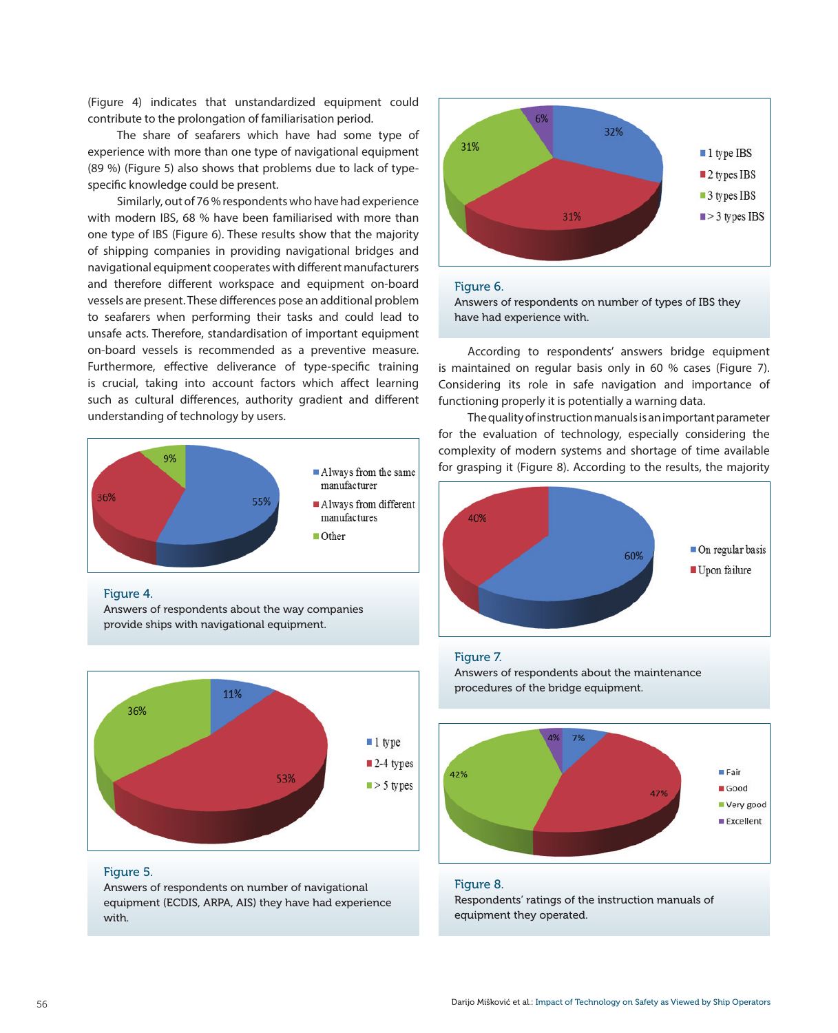(Figure 4) indicates that unstandardized equipment could contribute to the prolongation of familiarisation period.

The share of seafarers which have had some type of experience with more than one type of navigational equipment (89 %) (Figure 5) also shows that problems due to lack of typespecific knowledge could be present.

Similarly, out of 76 % respondents who have had experience with modern IBS, 68 % have been familiarised with more than one type of IBS (Figure 6). These results show that the majority of shipping companies in providing navigational bridges and navigational equipment cooperates with different manufacturers and therefore different workspace and equipment on-board vessels are present. These differences pose an additional problem to seafarers when performing their tasks and could lead to unsafe acts. Therefore, standardisation of important equipment on-board vessels is recommended as a preventive measure. Furthermore, effective deliverance of type-specific training is crucial, taking into account factors which affect learning such as cultural differences, authority gradient and different understanding of technology by users.



Figure 4.

Answers of respondents about the way companies provide ships with navigational equipment.



Figure 5.

Answers of respondents on number of navigational equipment (ECDIS, ARPA, AIS) they have had experience with.



# Figure 6.

Answers of respondents on number of types of IBS they have had experience with.

According to respondents' answers bridge equipment is maintained on regular basis only in 60 % cases (Figure 7). Considering its role in safe navigation and importance of functioning properly it is potentially a warning data.

The quality of instruction manuals is an important parameter for the evaluation of technology, especially considering the complexity of modern systems and shortage of time available for grasping it (Figure 8). According to the results, the majority



#### Figure 7.

Answers of respondents about the maintenance procedures of the bridge equipment.



#### Figure 8.

Respondents' ratings of the instruction manuals of equipment they operated.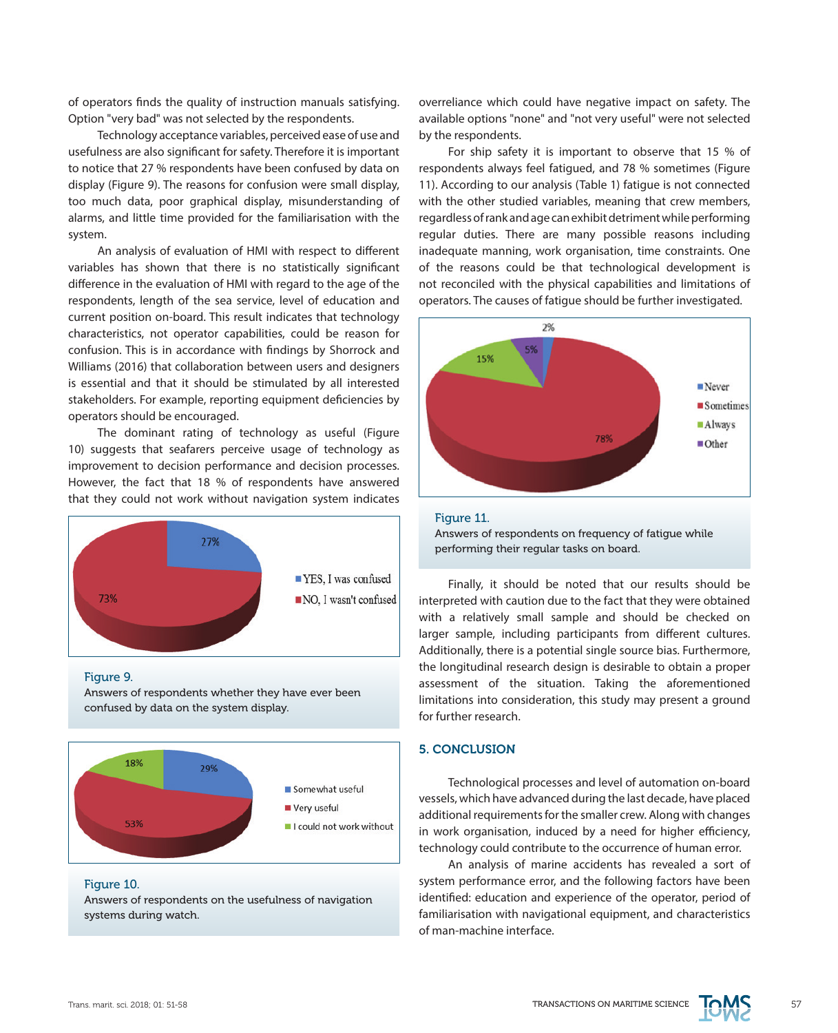of operators finds the quality of instruction manuals satisfying. Option "very bad" was not selected by the respondents.

Technology acceptance variables, perceived ease of use and usefulness are also significant for safety. Therefore it is important to notice that 27 % respondents have been confused by data on display (Figure 9). The reasons for confusion were small display, too much data, poor graphical display, misunderstanding of alarms, and little time provided for the familiarisation with the system.

An analysis of evaluation of HMI with respect to different variables has shown that there is no statistically significant difference in the evaluation of HMI with regard to the age of the respondents, length of the sea service, level of education and current position on-board. This result indicates that technology characteristics, not operator capabilities, could be reason for confusion. This is in accordance with findings by Shorrock and Williams (2016) that collaboration between users and designers is essential and that it should be stimulated by all interested stakeholders. For example, reporting equipment deficiencies by operators should be encouraged.

The dominant rating of technology as useful (Figure 10) suggests that seafarers perceive usage of technology as improvement to decision performance and decision processes. However, the fact that 18 % of respondents have answered that they could not work without navigation system indicates



#### Figure 9.

Answers of respondents whether they have ever been confused by data on the system display.



#### Figure 10.

Answers of respondents on the usefulness of navigation systems during watch.

overreliance which could have negative impact on safety. The available options "none" and "not very useful" were not selected by the respondents.

For ship safety it is important to observe that 15 % of respondents always feel fatigued, and 78 % sometimes (Figure 11). According to our analysis (Table 1) fatigue is not connected with the other studied variables, meaning that crew members, regardless of rank and age can exhibit detriment while performing regular duties. There are many possible reasons including inadequate manning, work organisation, time constraints. One of the reasons could be that technological development is not reconciled with the physical capabilities and limitations of operators. The causes of fatigue should be further investigated.





Finally, it should be noted that our results should be interpreted with caution due to the fact that they were obtained with a relatively small sample and should be checked on larger sample, including participants from different cultures. Additionally, there is a potential single source bias. Furthermore, the longitudinal research design is desirable to obtain a proper assessment of the situation. Taking the aforementioned limitations into consideration, this study may present a ground for further research.

# 5. CONCLUSION

Technological processes and level of automation on-board vessels, which have advanced during the last decade, have placed additional requirements for the smaller crew. Along with changes in work organisation, induced by a need for higher efficiency, technology could contribute to the occurrence of human error.

An analysis of marine accidents has revealed a sort of system performance error, and the following factors have been identified: education and experience of the operator, period of familiarisation with navigational equipment, and characteristics of man-machine interface.